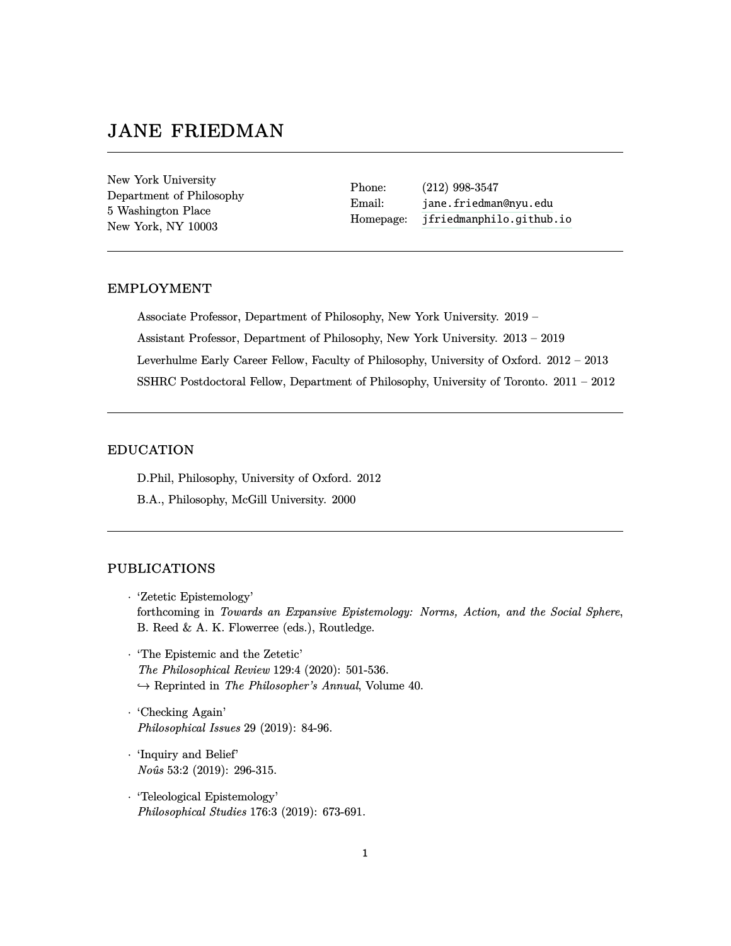# jane friedman

New York University Department of Philosophy 5 Washington Place New York, NY 10003

Phone: (212) 998-3547 Email: <jane.friedman@nyu.edu> Homepage: <jfriedmanphilo.github.io>

## employment

Associate Professor, Department of Philosophy, New York University. 2019 – Assistant Professor, Department of Philosophy, New York University. 2013 – 2019 Leverhulme Early Career Fellow, Faculty of Philosophy, University of Oxford. 2012 – 2013 SSHRC Postdoctoral Fellow, Department of Philosophy, University of Toronto. 2011 – 2012

## education

D.Phil, Philosophy, University of Oxford. 2012

B.A., Philosophy, McGill University. 2000

## publications

- · 'Zetetic Epistemology' forthcoming in *Towards an Expansive Epistemology: Norms, Action, and the Social Sphere*, B. Reed & A. K. Flowerree (eds.), Routledge.
- · 'The Epistemic and the Zetetic' *The Philosophical Review* 129:4 (2020): 501-536. *,*→ Reprinted in *The Philosopher's Annual*, Volume 40.
- · 'Checking Again' *Philosophical Issues* 29 (2019): 84-96.
- · 'Inquiry and Belief' *Noˆus* 53:2 (2019): 296-315.
- · 'Teleological Epistemology' *Philosophical Studies* 176:3 (2019): 673-691.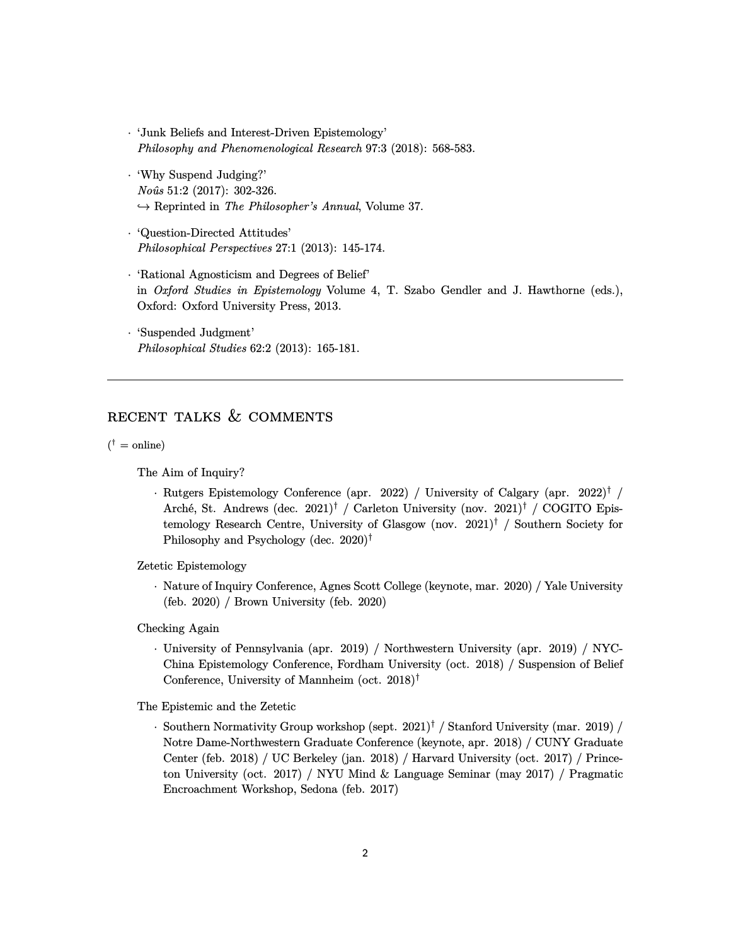- · 'Junk Beliefs and Interest-Driven Epistemology' *Philosophy and Phenomenological Research* 97:3 (2018): 568-583.
- · 'Why Suspend Judging?' *Noˆus* 51:2 (2017): 302-326. *,*→ Reprinted in *The Philosopher's Annual*, Volume 37.
- · 'Question-Directed Attitudes' *Philosophical Perspectives* 27:1 (2013): 145-174.
- · 'Rational Agnosticism and Degrees of Belief' in *Oxford Studies in Epistemology* Volume 4, T. Szabo Gendler and J. Hawthorne (eds.), Oxford: Oxford University Press, 2013.
- · 'Suspended Judgment' *Philosophical Studies* 62:2 (2013): 165-181.

## RECENT TALKS  $&$  COMMENTS

 $({}^{\dagger} =$  online)

The Aim of Inquiry?

· Rutgers Epistemology Conference (apr. 2022) / University of Calgary (apr. 2022)† / Arché, St. Andrews (dec. 2021)<sup>†</sup> / Carleton University (nov. 2021)<sup>†</sup> / COGITO Epistemology Research Centre, University of Glasgow (nov.  $2021$ )<sup>†</sup> / Southern Society for Philosophy and Psychology (dec. 2020)†

Zetetic Epistemology

· Nature of Inquiry Conference, Agnes Scott College (keynote, mar. 2020) / Yale University (feb. 2020) / Brown University (feb. 2020)

Checking Again

· University of Pennsylvania (apr. 2019) / Northwestern University (apr. 2019) / NYC-China Epistemology Conference, Fordham University (oct. 2018) / Suspension of Belief Conference, University of Mannheim (oct. 2018)†

The Epistemic and the Zetetic

· Southern Normativity Group workshop (sept. 2021)† / Stanford University (mar. 2019) / Notre Dame-Northwestern Graduate Conference (keynote, apr. 2018) / CUNY Graduate Center (feb. 2018) / UC Berkeley (jan. 2018) / Harvard University (oct. 2017) / Princeton University (oct. 2017) / NYU Mind & Language Seminar (may 2017) / Pragmatic Encroachment Workshop, Sedona (feb. 2017)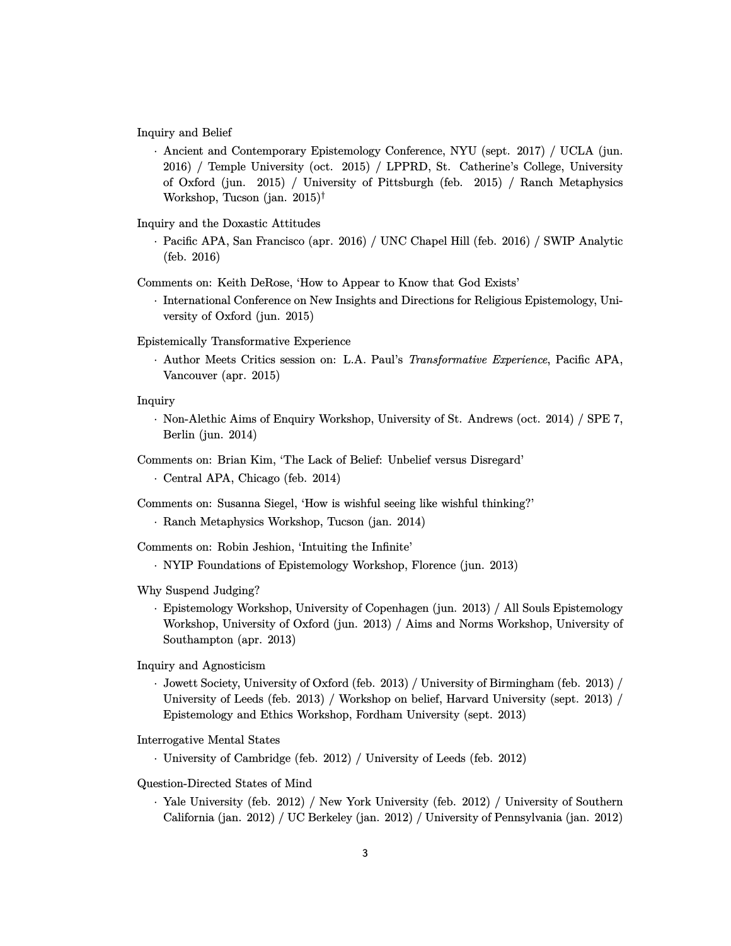Inquiry and Belief

· Ancient and Contemporary Epistemology Conference, NYU (sept. 2017) / UCLA (jun. 2016) / Temple University (oct. 2015) / LPPRD, St. Catherine's College, University of Oxford (jun. 2015) / University of Pittsburgh (feb. 2015) / Ranch Metaphysics Workshop, Tucson (jan. 2015)†

Inquiry and the Doxastic Attitudes

· Pacific APA, San Francisco (apr. 2016) / UNC Chapel Hill (feb. 2016) / SWIP Analytic (feb. 2016)

Comments on: Keith DeRose, 'How to Appear to Know that God Exists'

· International Conference on New Insights and Directions for Religious Epistemology, University of Oxford (jun. 2015)

Epistemically Transformative Experience

· Author Meets Critics session on: L.A. Paul's *Transformative Experience*, Pacific APA, Vancouver (apr. 2015)

#### Inquiry

· Non-Alethic Aims of Enquiry Workshop, University of St. Andrews (oct. 2014) / SPE 7, Berlin (jun. 2014)

Comments on: Brian Kim, 'The Lack of Belief: Unbelief versus Disregard'

· Central APA, Chicago (feb. 2014)

Comments on: Susanna Siegel, 'How is wishful seeing like wishful thinking?'

· Ranch Metaphysics Workshop, Tucson (jan. 2014)

Comments on: Robin Jeshion, 'Intuiting the Infinite'

· NYIP Foundations of Epistemology Workshop, Florence (jun. 2013)

Why Suspend Judging?

- · Epistemology Workshop, University of Copenhagen (jun. 2013) / All Souls Epistemology Workshop, University of Oxford (jun. 2013) / Aims and Norms Workshop, University of Southampton (apr. 2013)
- Inquiry and Agnosticism
	- · Jowett Society, University of Oxford (feb. 2013) / University of Birmingham (feb. 2013) / University of Leeds (feb. 2013) / Workshop on belief, Harvard University (sept. 2013) / Epistemology and Ethics Workshop, Fordham University (sept. 2013)

Interrogative Mental States

· University of Cambridge (feb. 2012) / University of Leeds (feb. 2012)

Question-Directed States of Mind

· Yale University (feb. 2012) / New York University (feb. 2012) / University of Southern California (jan. 2012) / UC Berkeley (jan. 2012) / University of Pennsylvania (jan. 2012)